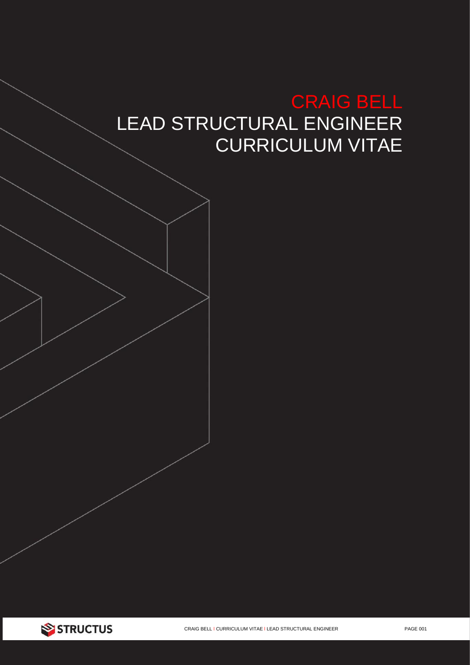# CRAIG BELL LEAD STRUCTURAL ENGINEER CURRICULUM VITAE

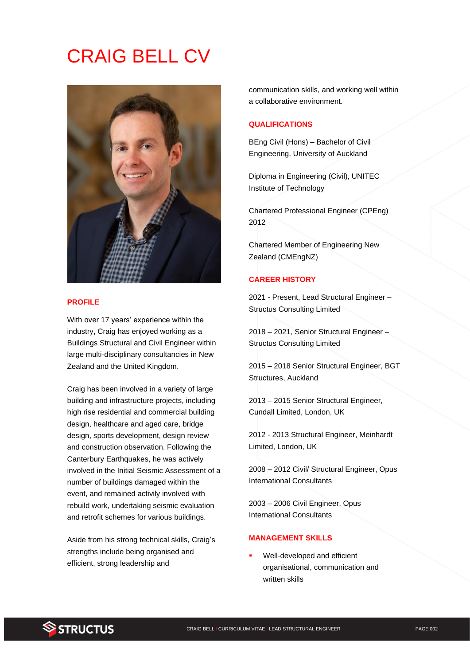# CRAIG BELL CV



#### **PROFILE**

With over 17 years' experience within the industry, Craig has enjoyed working as a Buildings Structural and Civil Engineer within large multi-disciplinary consultancies in New Zealand and the United Kingdom.

Craig has been involved in a variety of large building and infrastructure projects, including high rise residential and commercial building design, healthcare and aged care, bridge design, sports development, design review and construction observation. Following the Canterbury Earthquakes, he was actively involved in the Initial Seismic Assessment of a number of buildings damaged within the event, and remained activily involved with rebuild work, undertaking seismic evaluation and retrofit schemes for various buildings.

Aside from his strong technical skills, Craig's strengths include being organised and efficient, strong leadership and

communication skills, and working well within a collaborative environment.

#### **QUALIFICATIONS**

BEng Civil (Hons) – Bachelor of Civil Engineering, University of Auckland

Diploma in Engineering (Civil), UNITEC Institute of Technology

Chartered Professional Engineer (CPEng) 2012

Chartered Member of Engineering New Zealand (CMEngNZ)

### **CAREER HISTORY**

2021 - Present, Lead Structural Engineer – Structus Consulting Limited

2018 – 2021, Senior Structural Engineer – Structus Consulting Limited

2015 – 2018 Senior Structural Engineer, BGT Structures, Auckland

2013 – 2015 Senior Structural Engineer, Cundall Limited, London, UK

2012 - 2013 Structural Engineer, Meinhardt Limited, London, UK

2008 – 2012 Civil/ Structural Engineer, Opus International Consultants

2003 – 2006 Civil Engineer, Opus International Consultants

## **MANAGEMENT SKILLS**

Well-developed and efficient organisational, communication and written skills

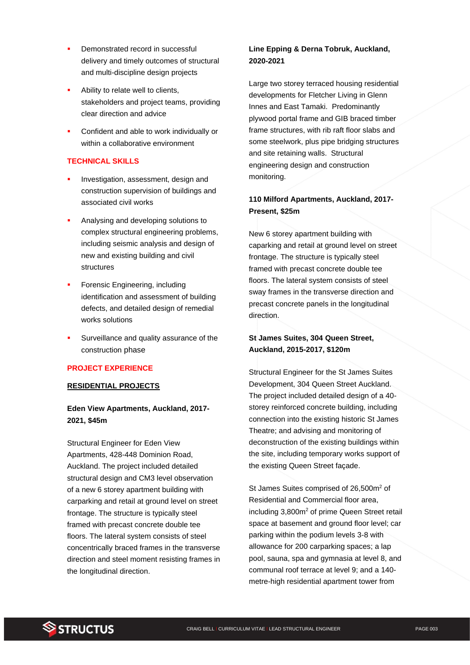- Demonstrated record in successful delivery and timely outcomes of structural and multi-discipline design projects
- Ability to relate well to clients, stakeholders and project teams, providing clear direction and advice
- Confident and able to work individually or within a collaborative environment

## **TECHNICAL SKILLS**

- Investigation, assessment, design and construction supervision of buildings and associated civil works
- Analysing and developing solutions to complex structural engineering problems, including seismic analysis and design of new and existing building and civil structures
- Forensic Engineering, including identification and assessment of building defects, and detailed design of remedial works solutions
- Surveillance and quality assurance of the construction phase

## **PROJECT EXPERIENCE**

## **RESIDENTIAL PROJECTS**

## **Eden View Apartments, Auckland, 2017- 2021, \$45m**

Structural Engineer for Eden View Apartments, 428-448 Dominion Road, Auckland. The project included detailed structural design and CM3 level observation of a new 6 storey apartment building with carparking and retail at ground level on street frontage. The structure is typically steel framed with precast concrete double tee floors. The lateral system consists of steel concentrically braced frames in the transverse direction and steel moment resisting frames in the longitudinal direction.

## **Line Epping & Derna Tobruk, Auckland, 2020-2021**

Large two storey terraced housing residential developments for Fletcher Living in Glenn Innes and East Tamaki. Predominantly plywood portal frame and GIB braced timber frame structures, with rib raft floor slabs and some steelwork, plus pipe bridging structures and site retaining walls. Structural engineering design and construction monitoring.

# **110 Milford Apartments, Auckland, 2017- Present, \$25m**

New 6 storey apartment building with caparking and retail at ground level on street frontage. The structure is typically steel framed with precast concrete double tee floors. The lateral system consists of steel sway frames in the transverse direction and precast concrete panels in the longitudinal direction.

# **St James Suites, 304 Queen Street, Auckland, 2015-2017, \$120m**

Structural Engineer for the St James Suites Development, 304 Queen Street Auckland. The project included detailed design of a 40 storey reinforced concrete building, including connection into the existing historic St James Theatre; and advising and monitoring of deconstruction of the existing buildings within the site, including temporary works support of the existing Queen Street façade.

St James Suites comprised of 26,500m<sup>2</sup> of Residential and Commercial floor area, including 3,800m<sup>2</sup> of prime Queen Street retail space at basement and ground floor level; car parking within the podium levels 3-8 with allowance for 200 carparking spaces; a lap pool, sauna, spa and gymnasia at level 8, and communal roof terrace at level 9; and a 140 metre-high residential apartment tower from

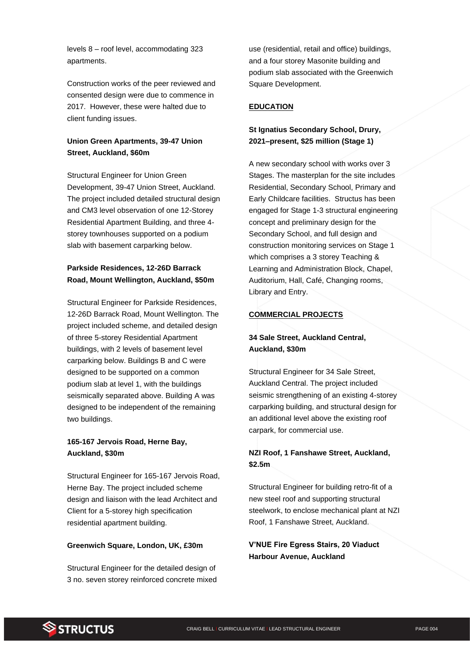levels 8 – roof level, accommodating 323 apartments.

Construction works of the peer reviewed and consented design were due to commence in 2017. However, these were halted due to client funding issues.

# **Union Green Apartments, 39-47 Union Street, Auckland, \$60m**

Structural Engineer for Union Green Development, 39-47 Union Street, Auckland. The project included detailed structural design and CM3 level observation of one 12-Storey Residential Apartment Building, and three 4 storey townhouses supported on a podium slab with basement carparking below.

# **Parkside Residences, 12-26D Barrack Road, Mount Wellington, Auckland, \$50m**

Structural Engineer for Parkside Residences, 12-26D Barrack Road, Mount Wellington. The project included scheme, and detailed design of three 5-storey Residential Apartment buildings, with 2 levels of basement level carparking below. Buildings B and C were designed to be supported on a common podium slab at level 1, with the buildings seismically separated above. Building A was designed to be independent of the remaining two buildings.

## **165-167 Jervois Road, Herne Bay, Auckland, \$30m**

Structural Engineer for 165-167 Jervois Road, Herne Bay. The project included scheme design and liaison with the lead Architect and Client for a 5-storey high specification residential apartment building.

## **Greenwich Square, London, UK, £30m**

Structural Engineer for the detailed design of 3 no. seven storey reinforced concrete mixed

use (residential, retail and office) buildings, and a four storey Masonite building and podium slab associated with the Greenwich Square Development.

## **EDUCATION**

## **St Ignatius Secondary School, Drury, 2021–present, \$25 million (Stage 1)**

A new secondary school with works over 3 Stages. The masterplan for the site includes Residential, Secondary School, Primary and Early Childcare facilities. Structus has been engaged for Stage 1-3 structural engineering concept and preliminary design for the Secondary School, and full design and construction monitoring services on Stage 1 which comprises a 3 storey Teaching & Learning and Administration Block, Chapel, Auditorium, Hall, Café, Changing rooms, Library and Entry.

## **COMMERCIAL PROJECTS**

# **34 Sale Street, Auckland Central, Auckland, \$30m**

Structural Engineer for 34 Sale Street, Auckland Central. The project included seismic strengthening of an existing 4-storey carparking building, and structural design for an additional level above the existing roof carpark, for commercial use.

# **NZI Roof, 1 Fanshawe Street, Auckland, \$2.5m**

Structural Engineer for building retro-fit of a new steel roof and supporting structural steelwork, to enclose mechanical plant at NZI Roof, 1 Fanshawe Street, Auckland.

**V'NUE Fire Egress Stairs, 20 Viaduct Harbour Avenue, Auckland**

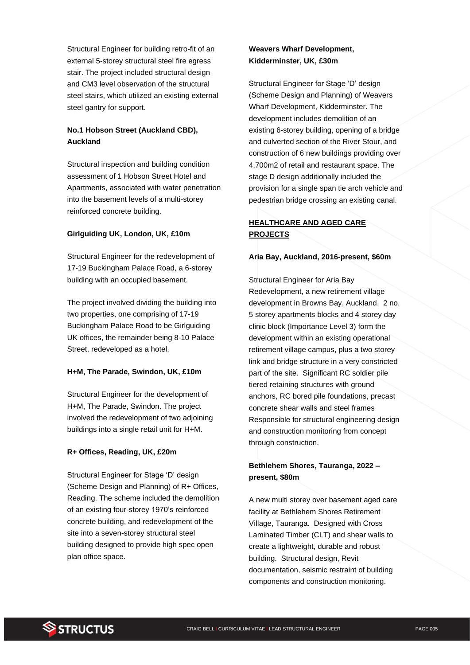Structural Engineer for building retro-fit of an external 5-storey structural steel fire egress stair. The project included structural design and CM3 level observation of the structural steel stairs, which utilized an existing external steel gantry for support.

# **No.1 Hobson Street (Auckland CBD), Auckland**

Structural inspection and building condition assessment of 1 Hobson Street Hotel and Apartments, associated with water penetration into the basement levels of a multi-storey reinforced concrete building.

## **Girlguiding UK, London, UK, £10m**

Structural Engineer for the redevelopment of 17-19 Buckingham Palace Road, a 6-storey building with an occupied basement.

The project involved dividing the building into two properties, one comprising of 17-19 Buckingham Palace Road to be Girlguiding UK offices, the remainder being 8-10 Palace Street, redeveloped as a hotel.

#### **H+M, The Parade, Swindon, UK, £10m**

Structural Engineer for the development of H+M, The Parade, Swindon. The project involved the redevelopment of two adjoining buildings into a single retail unit for H+M.

#### **R+ Offices, Reading, UK, £20m**

Structural Engineer for Stage 'D' design (Scheme Design and Planning) of R+ Offices, Reading. The scheme included the demolition of an existing four-storey 1970's reinforced concrete building, and redevelopment of the site into a seven-storey structural steel building designed to provide high spec open plan office space.

## **Weavers Wharf Development, Kidderminster, UK, £30m**

Structural Engineer for Stage 'D' design (Scheme Design and Planning) of Weavers Wharf Development, Kidderminster. The development includes demolition of an existing 6-storey building, opening of a bridge and culverted section of the River Stour, and construction of 6 new buildings providing over 4,700m2 of retail and restaurant space. The stage D design additionally included the provision for a single span tie arch vehicle and pedestrian bridge crossing an existing canal.

## **HEALTHCARE AND AGED CARE PROJECTS**

## **Aria Bay, Auckland, 2016-present, \$60m**

Structural Engineer for Aria Bay Redevelopment, a new retirement village development in Browns Bay, Auckland. 2 no. 5 storey apartments blocks and 4 storey day clinic block (Importance Level 3) form the development within an existing operational retirement village campus, plus a two storey link and bridge structure in a very constricted part of the site. Significant RC soldier pile tiered retaining structures with ground anchors, RC bored pile foundations, precast concrete shear walls and steel frames Responsible for structural engineering design and construction monitoring from concept through construction.

## **Bethlehem Shores, Tauranga, 2022 – present, \$80m**

A new multi storey over basement aged care facility at Bethlehem Shores Retirement Village, Tauranga. Designed with Cross Laminated Timber (CLT) and shear walls to create a lightweight, durable and robust building. Structural design, Revit documentation, seismic restraint of building components and construction monitoring.

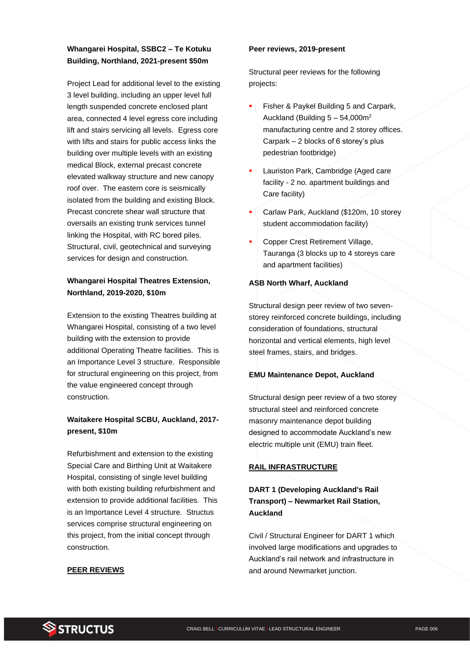# **Whangarei Hospital, SSBC2 – Te Kotuku Building, Northland, 2021-present \$50m**

Project Lead for additional level to the existing 3 level building, including an upper level full length suspended concrete enclosed plant area, connected 4 level egress core including lift and stairs servicing all levels. Egress core with lifts and stairs for public access links the building over multiple levels with an existing medical Block, external precast concrete elevated walkway structure and new canopy roof over. The eastern core is seismically isolated from the building and existing Block. Precast concrete shear wall structure that oversails an existing trunk services tunnel linking the Hospital, with RC bored piles. Structural, civil, geotechnical and surveying services for design and construction.

# **Whangarei Hospital Theatres Extension, Northland, 2019-2020, \$10m**

Extension to the existing Theatres building at Whangarei Hospital, consisting of a two level building with the extension to provide additional Operating Theatre facilities. This is an Importance Level 3 structure. Responsible for structural engineering on this project, from the value engineered concept through construction.

# **Waitakere Hospital SCBU, Auckland, 2017 present, \$10m**

Refurbishment and extension to the existing Special Care and Birthing Unit at Waitakere Hospital, consisting of single level building with both existing building refurbishment and extension to provide additional facilities. This is an Importance Level 4 structure. Structus services comprise structural engineering on this project, from the initial concept through construction.

## **PEER REVIEWS**

#### **Peer reviews, 2019-present**

Structural peer reviews for the following projects:

- Fisher & Paykel Building 5 and Carpark, Auckland (Building  $5 - 54,000$ m<sup>2</sup> manufacturing centre and 2 storey offices. Carpark – 2 blocks of 6 storey's plus pedestrian footbridge)
- Lauriston Park, Cambridge (Aged care facility - 2 no. apartment buildings and Care facility)
- Carlaw Park, Auckland (\$120m, 10 storey student accommodation facility)
- Copper Crest Retirement Village, Tauranga (3 blocks up to 4 storeys care and apartment facilities)

## **ASB North Wharf, Auckland**

Structural design peer review of two sevenstorey reinforced concrete buildings, including consideration of foundations, structural horizontal and vertical elements, high level steel frames, stairs, and bridges.

## **EMU Maintenance Depot, Auckland**

Structural design peer review of a two storey structural steel and reinforced concrete masonry maintenance depot building designed to accommodate Auckland's new electric multiple unit (EMU) train fleet.

#### **RAIL INFRASTRUCTURE**

# **DART 1 (Developing Auckland's Rail Transport) – Newmarket Rail Station, Auckland**

Civil / Structural Engineer for DART 1 which involved large modifications and upgrades to Auckland's rail network and infrastructure in and around Newmarket junction.

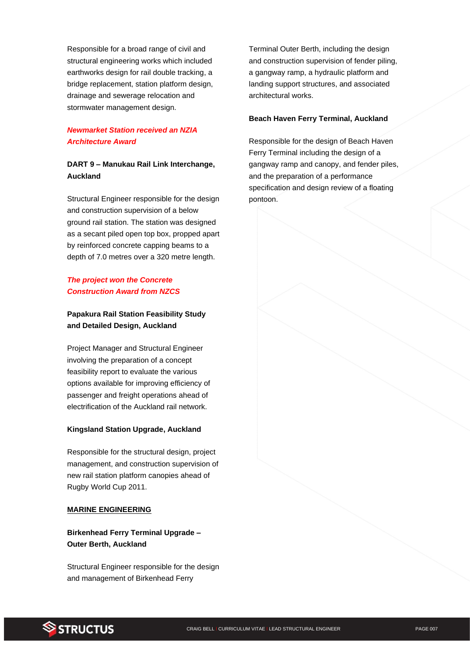Responsible for a broad range of civil and structural engineering works which included earthworks design for rail double tracking, a bridge replacement, station platform design, drainage and sewerage relocation and stormwater management design.

# *Newmarket Station received an NZIA Architecture Award*

# **DART 9 – Manukau Rail Link Interchange, Auckland**

Structural Engineer responsible for the design and construction supervision of a below ground rail station. The station was designed as a secant piled open top box, propped apart by reinforced concrete capping beams to a depth of 7.0 metres over a 320 metre length.

# *The project won the Concrete Construction Award from NZCS*

# **Papakura Rail Station Feasibility Study and Detailed Design, Auckland**

Project Manager and Structural Engineer involving the preparation of a concept feasibility report to evaluate the various options available for improving efficiency of passenger and freight operations ahead of electrification of the Auckland rail network.

## **Kingsland Station Upgrade, Auckland**

Responsible for the structural design, project management, and construction supervision of new rail station platform canopies ahead of Rugby World Cup 2011.

## **MARINE ENGINEERING**

# **Birkenhead Ferry Terminal Upgrade – Outer Berth, Auckland**

Structural Engineer responsible for the design and management of Birkenhead Ferry

Terminal Outer Berth, including the design and construction supervision of fender piling, a gangway ramp, a hydraulic platform and landing support structures, and associated architectural works.

#### **Beach Haven Ferry Terminal, Auckland**

Responsible for the design of Beach Haven Ferry Terminal including the design of a gangway ramp and canopy, and fender piles, and the preparation of a performance specification and design review of a floating pontoon.